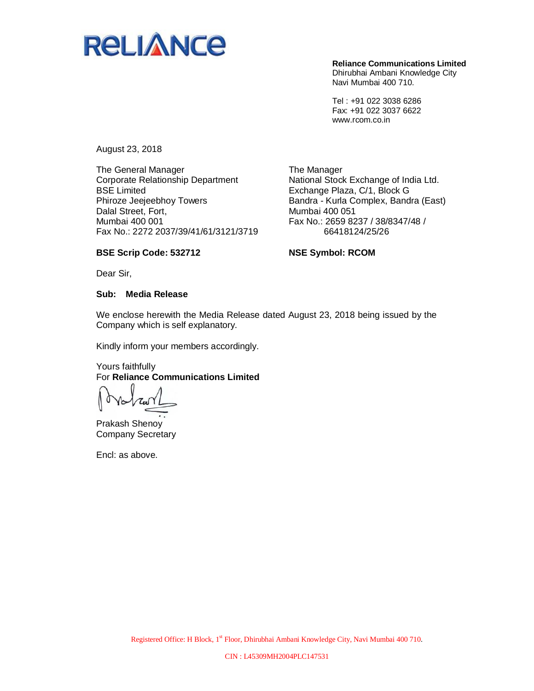

**Reliance Communications Limited** Dhirubhai Ambani Knowledge City Navi Mumbai 400 710.

Tel : +91 022 3038 6286 Fax: +91 022 3037 6622 www.rcom.co.in

August 23, 2018

The General Manager Corporate Relationship Department BSE Limited Phiroze Jeejeebhoy Towers Dalal Street, Fort, Mumbai 400 001 Fax No.: 2272 2037/39/41/61/3121/3719

The Manager National Stock Exchange of India Ltd. Exchange Plaza, C/1, Block G Bandra - Kurla Complex, Bandra (East) Mumbai 400 051 Fax No.: 2659 8237 / 38/8347/48 / 66418124/25/26

### **BSE Scrip Code: 532712**

**NSE Symbol: RCOM**

Dear Sir,

#### **Sub: Media Release**

We enclose herewith the Media Release dated August 23, 2018 being issued by the Company which is self explanatory.

Kindly inform your members accordingly.

### Yours faithfully For **Reliance Communications Limited**

 $700$ 

Prakash Shenoy Company Secretary

Encl: as above.